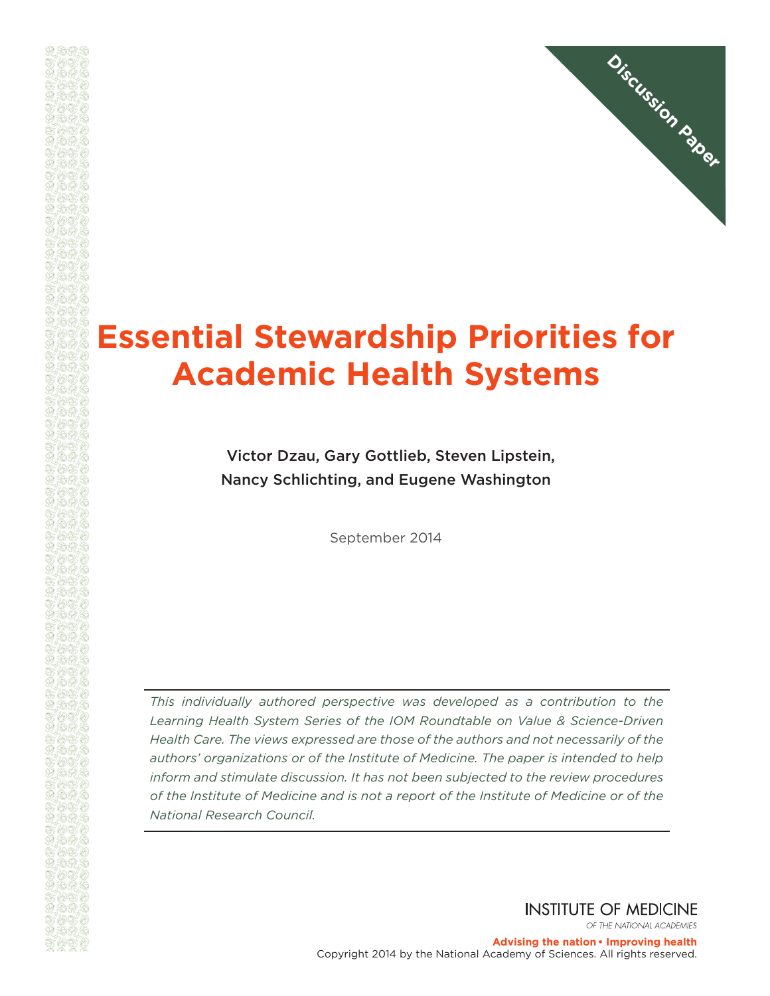

# **Essential Stewardship Priorities for Academic Health Systems**

Victor Dzau, Gary Gottlieb, Steven Lipstein, Nancy Schlichting, and Eugene Washington

September 2014

*This individually authored perspective was developed as a contribution to the Learning Health System Series of the IOM Roundtable on Value & Science-Driven Health Care. The views expressed are those of the authors and not necessarily of the authors' organizations or of the Institute of Medicine. The paper is intended to help inform and stimulate discussion. It has not been subjected to the review procedures of the Institute of Medicine and is not a report of the Institute of Medicine or of the National Research Council.*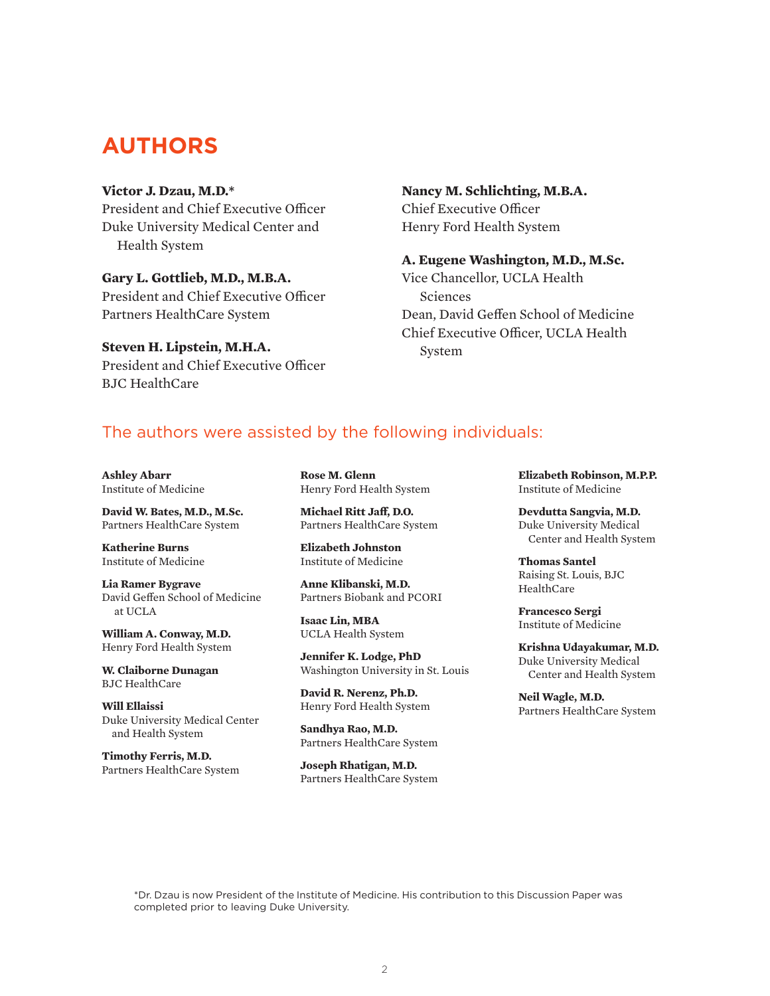## **AUTHORS**

#### **Victor J. Dzau, M.D.\***

President and Chief Executive Officer Duke University Medical Center and Health System

**Gary L. Gottlieb, M.D., M.B.A.** President and Chief Executive Officer Partners HealthCare System

**Steven H. Lipstein, M.H.A.**

President and Chief Executive Officer BJC HealthCare

#### **Nancy M. Schlichting, M.B.A.** Chief Executive Officer

Henry Ford Health System

#### **A. Eugene Washington, M.D., M.Sc.**

Vice Chancellor, UCLA Health Sciences Dean, David Geffen School of Medicine Chief Executive Officer, UCLA Health System

### The authors were assisted by the following individuals:

**Ashley Abarr** Institute of Medicine

**David W. Bates, M.D., M.Sc.** Partners HealthCare System

**Katherine Burns** Institute of Medicine

**Lia Ramer Bygrave** David Geffen School of Medicine at UCLA

**William A. Conway, M.D.** Henry Ford Health System

**W. Claiborne Dunagan** BJC HealthCare

**Will Ellaissi** Duke University Medical Center and Health System

**Timothy Ferris, M.D.** Partners HealthCare System **Rose M. Glenn** Henry Ford Health System

**Michael Ritt Jaff, D.O.** Partners HealthCare System

**Elizabeth Johnston** Institute of Medicine

**Anne Klibanski, M.D.** Partners Biobank and PCORI

**Isaac Lin, MBA** UCLA Health System

**Jennifer K. Lodge, PhD** Washington University in St. Louis

**David R. Nerenz, Ph.D.** Henry Ford Health System

**Sandhya Rao, M.D.** Partners HealthCare System

**Joseph Rhatigan, M.D.** Partners HealthCare System **Elizabeth Robinson, M.P.P.** Institute of Medicine

**Devdutta Sangvia, M.D.** Duke University Medical Center and Health System

**Thomas Santel** Raising St. Louis, BJC **HealthCare** 

**Francesco Sergi** Institute of Medicine

**Krishna Udayakumar, M.D.** Duke University Medical Center and Health System

**Neil Wagle, M.D.** Partners HealthCare System

\*Dr. Dzau is now President of the Institute of Medicine. His contribution to this Discussion Paper was completed prior to leaving Duke University.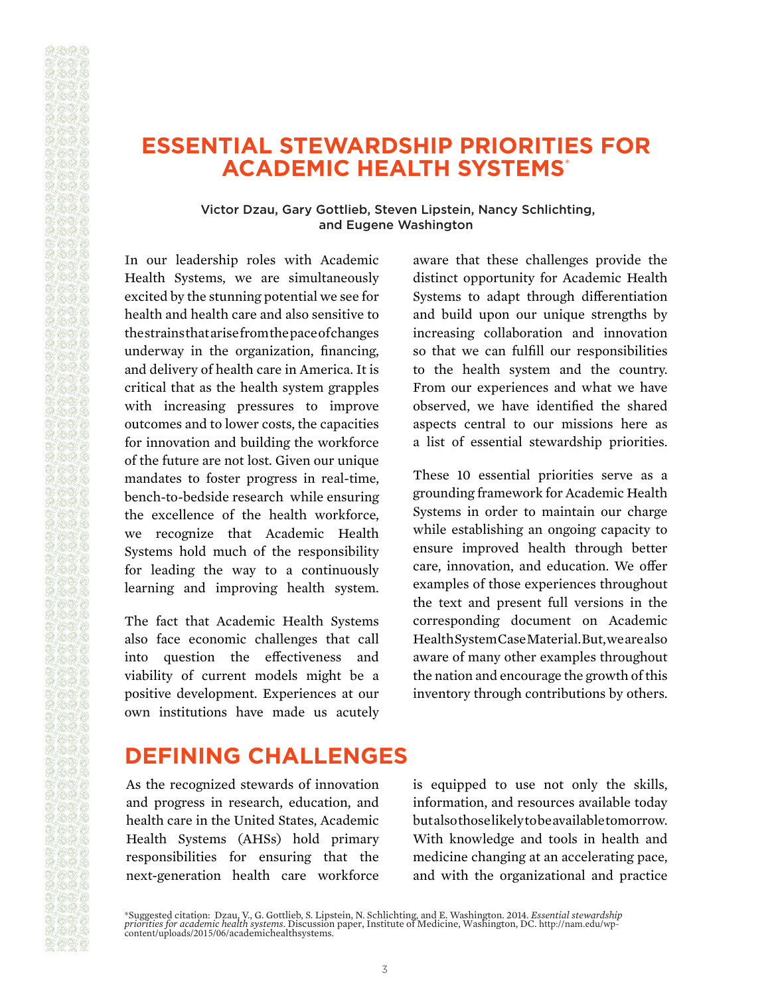## **ESSENTIAL STEWARDSHIP PRIORITIES FOR ACADEMIC HEALTH SYSTEMS**\*

#### Victor Dzau, Gary Gottlieb, Steven Lipstein, Nancy Schlichting, and Eugene Washington

In our leadership roles with Academic Health Systems, we are simultaneously excited by the stunning potential we see for health and health care and also sensitive to the strains that arise from the pace of changes underway in the organization, financing, and delivery of health care in America. It is critical that as the health system grapples with increasing pressures to improve outcomes and to lower costs, the capacities for innovation and building the workforce of the future are not lost. Given our unique mandates to foster progress in real-time, bench-to-bedside research while ensuring the excellence of the health workforce, we recognize that Academic Health Systems hold much of the responsibility for leading the way to a continuously learning and improving health system.

The fact that Academic Health Systems also face economic challenges that call into question the effectiveness and viability of current models might be a positive development. Experiences at our own institutions have made us acutely aware that these challenges provide the distinct opportunity for Academic Health Systems to adapt through differentiation and build upon our unique strengths by increasing collaboration and innovation so that we can fulfill our responsibilities to the health system and the country. From our experiences and what we have observed, we have identified the shared aspects central to our missions here as a list of essential stewardship priorities.

These 10 essential priorities serve as a grounding framework for Academic Health Systems in order to maintain our charge while establishing an ongoing capacity to ensure improved health through better care, innovation, and education. We offer examples of those experiences throughout the text and present full versions in the corresponding document on Academic Health System Case Material. But, we are also aware of many other examples throughout the nation and encourage the growth of this inventory through contributions by others.

## **DEFINING CHALLENGES**

As the recognized stewards of innovation and progress in research, education, and health care in the United States, Academic Health Systems (AHSs) hold primary responsibilities for ensuring that the next-generation health care workforce

is equipped to use not only the skills, information, and resources available today but also those likely to be available tomorrow. With knowledge and tools in health and medicine changing at an accelerating pace, and with the organizational and practice

<sup>\*</sup>Suggested citation: Dzau, V., G. Gottlieb, S. Lipstein, N. Schlichting, and E. Washington. 2014. *Essential stewardship*<br>*priorities for academic health systems.* Discussion paper, Institute of Medicine, Washington, DC. h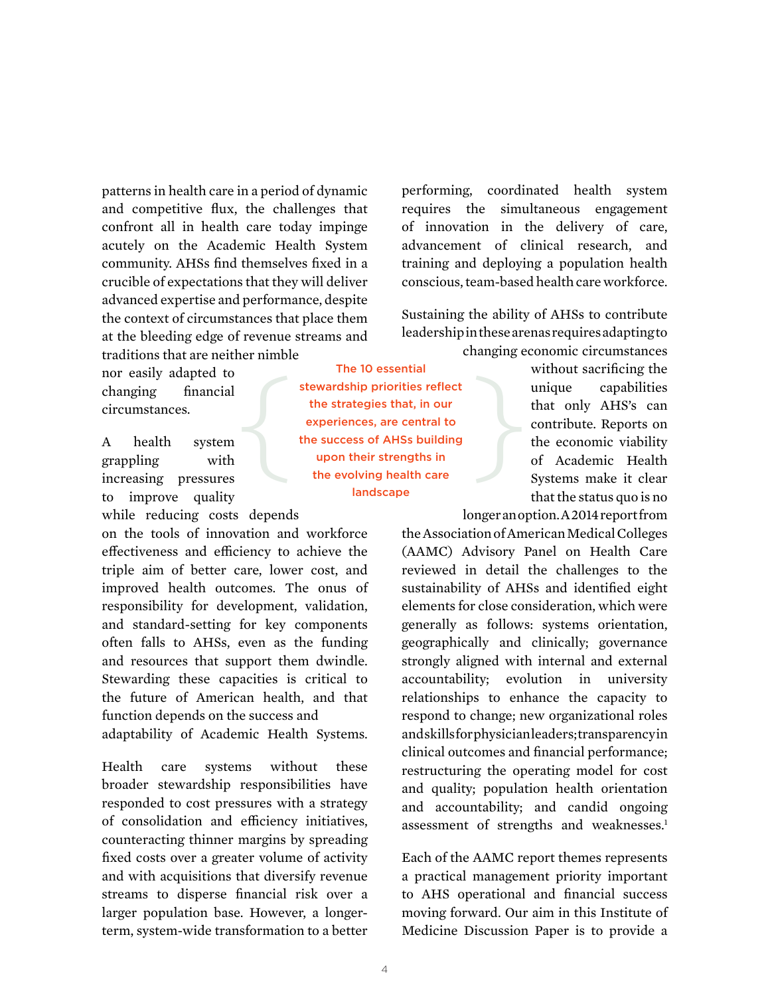patterns in health care in a period of dynamic and competitive flux, the challenges that confront all in health care today impinge acutely on the Academic Health System community. AHSs find themselves fixed in a crucible of expectations that they will deliver advanced expertise and performance, despite the context of circumstances that place them at the bleeding edge of revenue streams and traditions that are neither nimble

nor easily adapted to changing financial circumstances.

A health system grappling with increasing pressures to improve quality while reducing costs depends

on the tools of innovation and workforce effectiveness and efficiency to achieve the triple aim of better care, lower cost, and improved health outcomes. The onus of responsibility for development, validation, and standard-setting for key components often falls to AHSs, even as the funding and resources that support them dwindle. Stewarding these capacities is critical to the future of American health, and that function depends on the success and

adaptability of Academic Health Systems.

Health care systems without these broader stewardship responsibilities have responded to cost pressures with a strategy of consolidation and efficiency initiatives, counteracting thinner margins by spreading fixed costs over a greater volume of activity and with acquisitions that diversify revenue streams to disperse financial risk over a larger population base. However, a longerterm, system-wide transformation to a better performing, coordinated health system requires the simultaneous engagement of innovation in the delivery of care, advancement of clinical research, and training and deploying a population health conscious, team-based health care workforce.

Sustaining the ability of AHSs to contribute leadership in these arenas requires adapting to changing economic circumstances

> without sacrificing the unique capabilities that only AHS's can contribute. Reports on the economic viability of Academic Health Systems make it clear that the status quo is no

longer an option. A 2014 report from

the Association of American Medical Colleges (AAMC) Advisory Panel on Health Care reviewed in detail the challenges to the sustainability of AHSs and identified eight elements for close consideration, which were generally as follows: systems orientation, geographically and clinically; governance strongly aligned with internal and external accountability; evolution in university relationships to enhance the capacity to respond to change; new organizational roles and skills for physician leaders; transparency in clinical outcomes and financial performance; restructuring the operating model for cost and quality; population health orientation and accountability; and candid ongoing assessment of strengths and weaknesses.<sup>1</sup>

Each of the AAMC report themes represents a practical management priority important to AHS operational and financial success moving forward. Our aim in this Institute of Medicine Discussion Paper is to provide a

The 10 essential stewardship priorities reflect the strategies that, in our experiences, are central to the success of AHSs building upon their strengths in the evolving health care landscape The 10 essential<br>stewardship priorities reflect<br>the strategies that, in our<br>experiences, are central to<br>the success of AHSs building<br>upon their strengths in<br>the evolving health care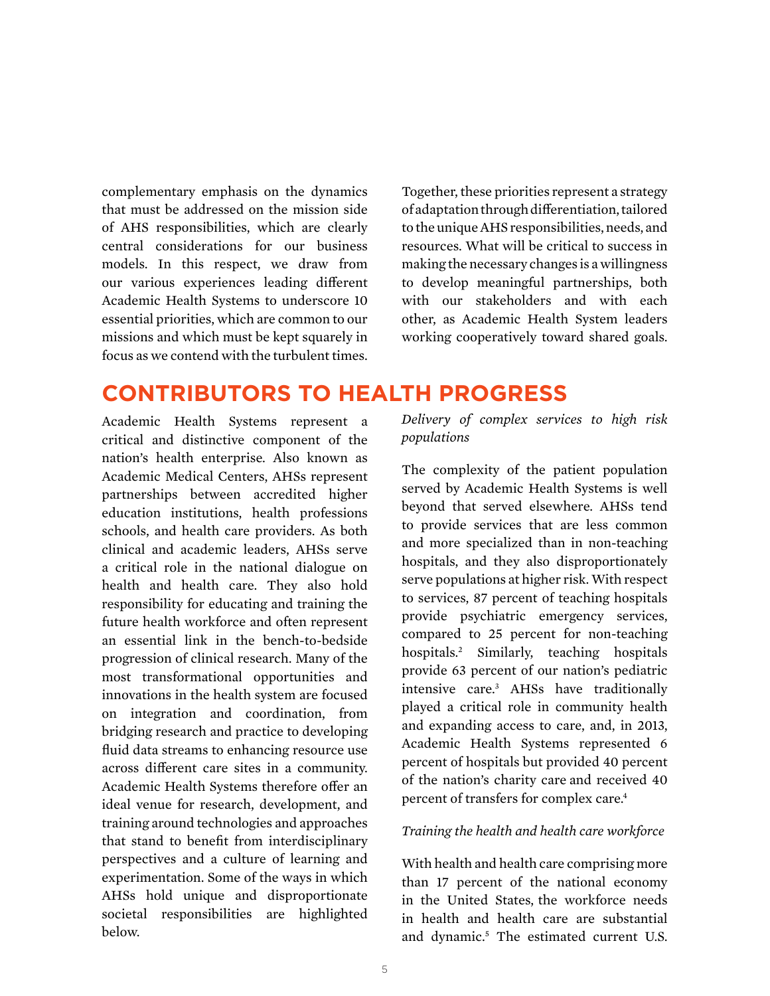complementary emphasis on the dynamics that must be addressed on the mission side of AHS responsibilities, which are clearly central considerations for our business models. In this respect, we draw from our various experiences leading different Academic Health Systems to underscore 10 essential priorities, which are common to our missions and which must be kept squarely in focus as we contend with the turbulent times.

Together, these priorities represent a strategy of adaptation through differentiation, tailored to the unique AHS responsibilities, needs, and resources. What will be critical to success in making the necessary changes is a willingness to develop meaningful partnerships, both with our stakeholders and with each other, as Academic Health System leaders working cooperatively toward shared goals.

## **CONTRIBUTORS TO HEALTH PROGRESS**

Academic Health Systems represent a critical and distinctive component of the nation's health enterprise. Also known as Academic Medical Centers, AHSs represent partnerships between accredited higher education institutions, health professions schools, and health care providers. As both clinical and academic leaders, AHSs serve a critical role in the national dialogue on health and health care. They also hold responsibility for educating and training the future health workforce and often represent an essential link in the bench-to-bedside progression of clinical research. Many of the most transformational opportunities and innovations in the health system are focused on integration and coordination, from bridging research and practice to developing fluid data streams to enhancing resource use across different care sites in a community. Academic Health Systems therefore offer an ideal venue for research, development, and training around technologies and approaches that stand to benefit from interdisciplinary perspectives and a culture of learning and experimentation. Some of the ways in which AHSs hold unique and disproportionate societal responsibilities are highlighted below.

*Delivery of complex services to high risk populations*

The complexity of the patient population served by Academic Health Systems is well beyond that served elsewhere. AHSs tend to provide services that are less common and more specialized than in non-teaching hospitals, and they also disproportionately serve populations at higher risk. With respect to services, 87 percent of teaching hospitals provide psychiatric emergency services, compared to 25 percent for non-teaching hospitals.2 Similarly, teaching hospitals provide 63 percent of our nation's pediatric intensive care.3 AHSs have traditionally played a critical role in community health and expanding access to care, and, in 2013, Academic Health Systems represented 6 percent of hospitals but provided 40 percent of the nation's charity care and received 40 percent of transfers for complex care.4

#### *Training the health and health care workforce*

With health and health care comprising more than 17 percent of the national economy in the United States, the workforce needs in health and health care are substantial and dynamic.<sup>5</sup> The estimated current U.S.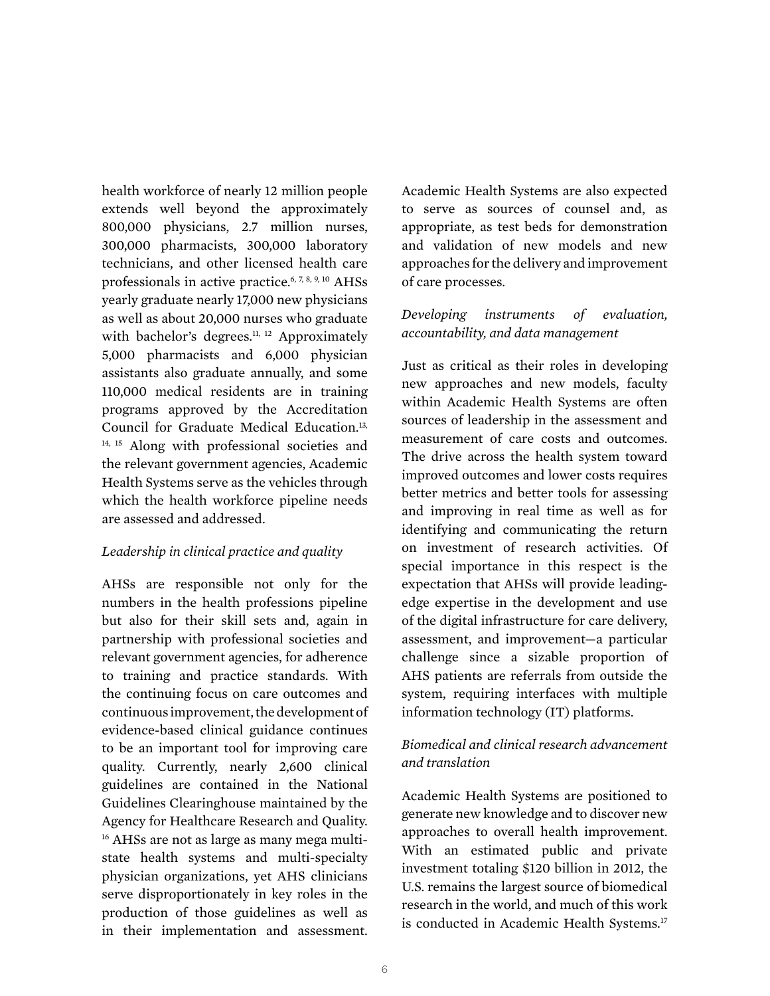health workforce of nearly 12 million people extends well beyond the approximately 800,000 physicians, 2.7 million nurses, 300,000 pharmacists, 300,000 laboratory technicians, and other licensed health care professionals in active practice.6, 7, 8, 9, 10 AHSs yearly graduate nearly 17,000 new physicians as well as about 20,000 nurses who graduate with bachelor's degrees.<sup>11, 12</sup> Approximately 5,000 pharmacists and 6,000 physician assistants also graduate annually, and some 110,000 medical residents are in training programs approved by the Accreditation Council for Graduate Medical Education.<sup>13,</sup> 14, 15 Along with professional societies and the relevant government agencies, Academic Health Systems serve as the vehicles through which the health workforce pipeline needs are assessed and addressed.

#### *Leadership in clinical practice and quality*

AHSs are responsible not only for the numbers in the health professions pipeline but also for their skill sets and, again in partnership with professional societies and relevant government agencies, for adherence to training and practice standards. With the continuing focus on care outcomes and continuous improvement, the development of evidence-based clinical guidance continues to be an important tool for improving care quality. Currently, nearly 2,600 clinical guidelines are contained in the National Guidelines Clearinghouse maintained by the Agency for Healthcare Research and Quality. <sup>16</sup> AHSs are not as large as many mega multistate health systems and multi-specialty physician organizations, yet AHS clinicians serve disproportionately in key roles in the production of those guidelines as well as in their implementation and assessment. Academic Health Systems are also expected to serve as sources of counsel and, as appropriate, as test beds for demonstration and validation of new models and new approaches for the delivery and improvement of care processes.

### *Developing instruments of evaluation, accountability, and data management*

Just as critical as their roles in developing new approaches and new models, faculty within Academic Health Systems are often sources of leadership in the assessment and measurement of care costs and outcomes. The drive across the health system toward improved outcomes and lower costs requires better metrics and better tools for assessing and improving in real time as well as for identifying and communicating the return on investment of research activities. Of special importance in this respect is the expectation that AHSs will provide leadingedge expertise in the development and use of the digital infrastructure for care delivery, assessment, and improvement—a particular challenge since a sizable proportion of AHS patients are referrals from outside the system, requiring interfaces with multiple information technology (IT) platforms.

### *Biomedical and clinical research advancement and translation*

Academic Health Systems are positioned to generate new knowledge and to discover new approaches to overall health improvement. With an estimated public and private investment totaling \$120 billion in 2012, the U.S. remains the largest source of biomedical research in the world, and much of this work is conducted in Academic Health Systems.<sup>17</sup>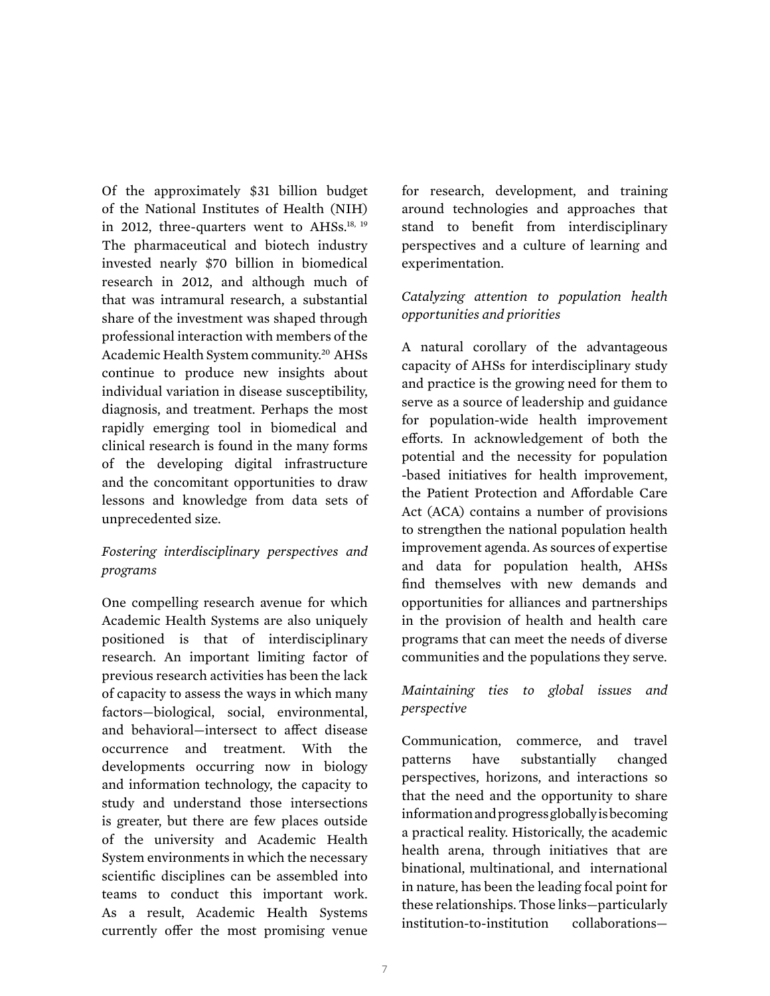Of the approximately \$31 billion budget of the National Institutes of Health (NIH) in 2012, three-quarters went to AHSs.<sup>18, 19</sup> The pharmaceutical and biotech industry invested nearly \$70 billion in biomedical research in 2012, and although much of that was intramural research, a substantial share of the investment was shaped through professional interaction with members of the Academic Health System community.20 AHSs continue to produce new insights about individual variation in disease susceptibility, diagnosis, and treatment. Perhaps the most rapidly emerging tool in biomedical and clinical research is found in the many forms of the developing digital infrastructure and the concomitant opportunities to draw lessons and knowledge from data sets of unprecedented size.

### *Fostering interdisciplinary perspectives and programs*

One compelling research avenue for which Academic Health Systems are also uniquely positioned is that of interdisciplinary research. An important limiting factor of previous research activities has been the lack of capacity to assess the ways in which many factors—biological, social, environmental, and behavioral—intersect to affect disease occurrence and treatment. With the developments occurring now in biology and information technology, the capacity to study and understand those intersections is greater, but there are few places outside of the university and Academic Health System environments in which the necessary scientific disciplines can be assembled into teams to conduct this important work. As a result, Academic Health Systems currently offer the most promising venue

for research, development, and training around technologies and approaches that stand to benefit from interdisciplinary perspectives and a culture of learning and experimentation.

### *Catalyzing attention to population health opportunities and priorities*

A natural corollary of the advantageous capacity of AHSs for interdisciplinary study and practice is the growing need for them to serve as a source of leadership and guidance for population-wide health improvement efforts. In acknowledgement of both the potential and the necessity for population -based initiatives for health improvement, the Patient Protection and Affordable Care Act (ACA) contains a number of provisions to strengthen the national population health improvement agenda. As sources of expertise and data for population health, AHSs find themselves with new demands and opportunities for alliances and partnerships in the provision of health and health care programs that can meet the needs of diverse communities and the populations they serve.

### *Maintaining ties to global issues and perspective*

Communication, commerce, and travel patterns have substantially changed perspectives, horizons, and interactions so that the need and the opportunity to share information and progress globally is becoming a practical reality. Historically, the academic health arena, through initiatives that are binational, multinational, and international in nature, has been the leading focal point for these relationships. Those links—particularly institution-to-institution collaborations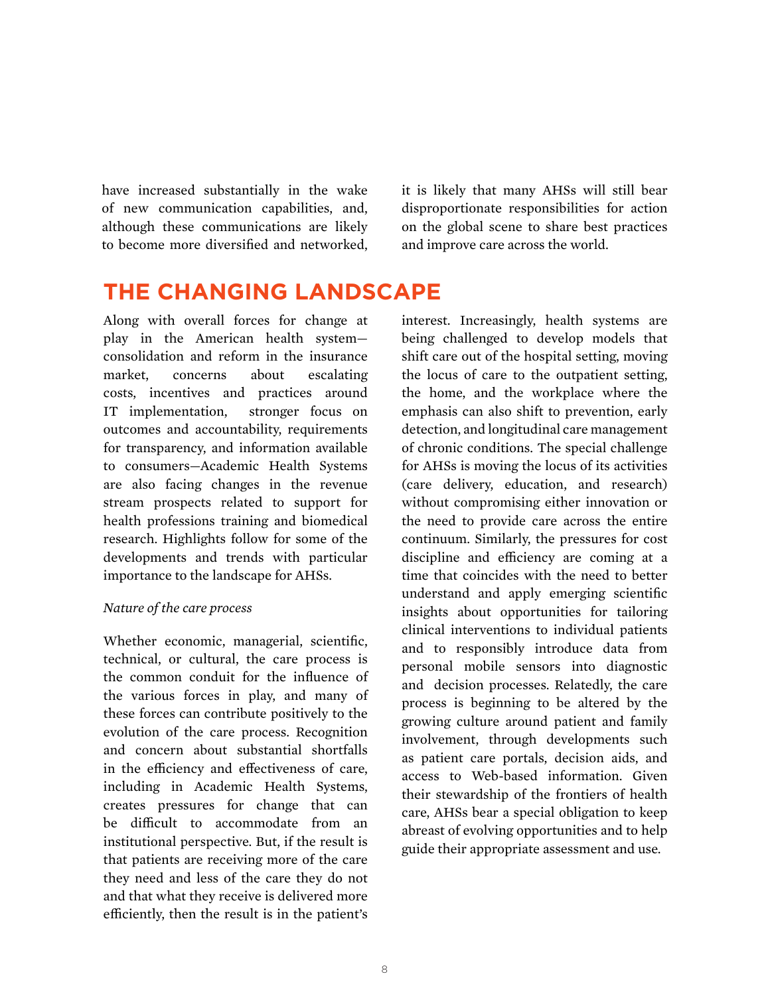have increased substantially in the wake of new communication capabilities, and, although these communications are likely to become more diversified and networked,

it is likely that many AHSs will still bear disproportionate responsibilities for action on the global scene to share best practices and improve care across the world.

## **THE CHANGING LANDSCAPE**

Along with overall forces for change at play in the American health system consolidation and reform in the insurance market, concerns about escalating costs, incentives and practices around IT implementation, stronger focus on outcomes and accountability, requirements for transparency, and information available to consumers—Academic Health Systems are also facing changes in the revenue stream prospects related to support for health professions training and biomedical research. Highlights follow for some of the developments and trends with particular importance to the landscape for AHSs.

#### *Nature of the care process*

Whether economic, managerial, scientific, technical, or cultural, the care process is the common conduit for the influence of the various forces in play, and many of these forces can contribute positively to the evolution of the care process. Recognition and concern about substantial shortfalls in the efficiency and effectiveness of care, including in Academic Health Systems, creates pressures for change that can be difficult to accommodate from an institutional perspective. But, if the result is that patients are receiving more of the care they need and less of the care they do not and that what they receive is delivered more efficiently, then the result is in the patient's

interest. Increasingly, health systems are being challenged to develop models that shift care out of the hospital setting, moving the locus of care to the outpatient setting, the home, and the workplace where the emphasis can also shift to prevention, early detection, and longitudinal care management of chronic conditions. The special challenge for AHSs is moving the locus of its activities (care delivery, education, and research) without compromising either innovation or the need to provide care across the entire continuum. Similarly, the pressures for cost discipline and efficiency are coming at a time that coincides with the need to better understand and apply emerging scientific insights about opportunities for tailoring clinical interventions to individual patients and to responsibly introduce data from personal mobile sensors into diagnostic and decision processes. Relatedly, the care process is beginning to be altered by the growing culture around patient and family involvement, through developments such as patient care portals, decision aids, and access to Web-based information. Given their stewardship of the frontiers of health care, AHSs bear a special obligation to keep abreast of evolving opportunities and to help guide their appropriate assessment and use.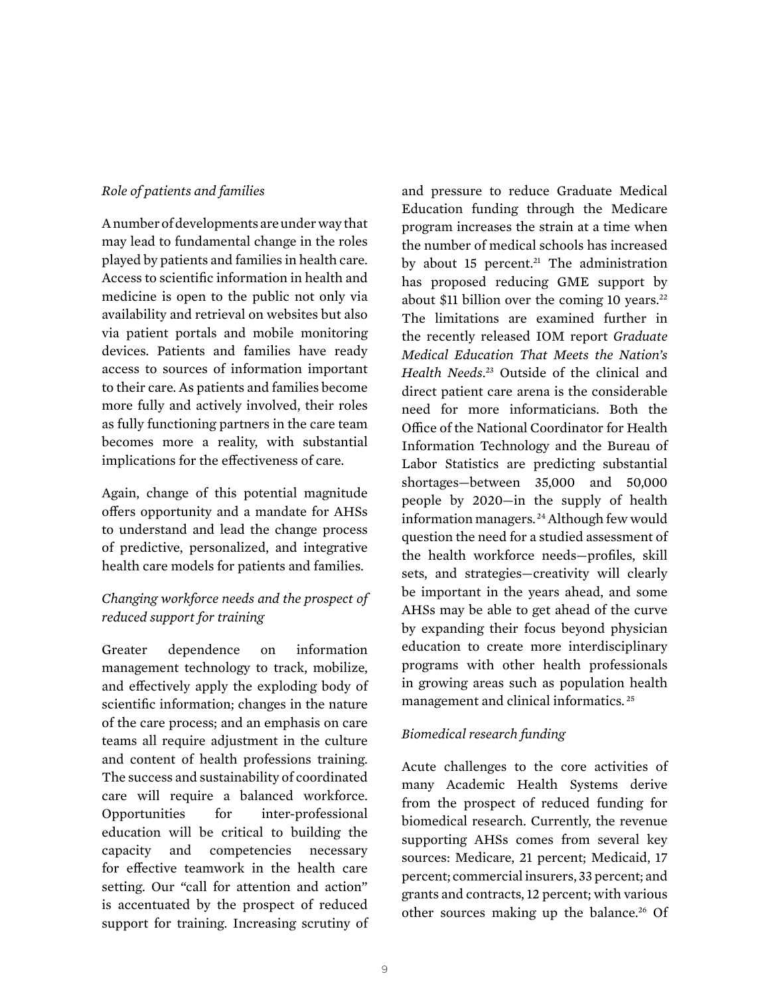#### *Role of patients and families*

A number of developments are under way that may lead to fundamental change in the roles played by patients and families in health care. Access to scientific information in health and medicine is open to the public not only via availability and retrieval on websites but also via patient portals and mobile monitoring devices. Patients and families have ready access to sources of information important to their care. As patients and families become more fully and actively involved, their roles as fully functioning partners in the care team becomes more a reality, with substantial implications for the effectiveness of care.

Again, change of this potential magnitude offers opportunity and a mandate for AHSs to understand and lead the change process of predictive, personalized, and integrative health care models for patients and families.

### *Changing workforce needs and the prospect of reduced support for training*

Greater dependence on information management technology to track, mobilize, and effectively apply the exploding body of scientific information; changes in the nature of the care process; and an emphasis on care teams all require adjustment in the culture and content of health professions training. The success and sustainability of coordinated care will require a balanced workforce. Opportunities for inter-professional education will be critical to building the capacity and competencies necessary for effective teamwork in the health care setting. Our "call for attention and action" is accentuated by the prospect of reduced support for training. Increasing scrutiny of

and pressure to reduce Graduate Medical Education funding through the Medicare program increases the strain at a time when the number of medical schools has increased by about 15 percent.<sup>21</sup> The administration has proposed reducing GME support by about \$11 billion over the coming 10 years. $22$ The limitations are examined further in the recently released IOM report *Graduate Medical Education That Meets the Nation's Health Needs*. 23 Outside of the clinical and direct patient care arena is the considerable need for more informaticians. Both the Office of the National Coordinator for Health Information Technology and the Bureau of Labor Statistics are predicting substantial shortages—between 35,000 and 50,000 people by 2020—in the supply of health information managers. 24 Although few would question the need for a studied assessment of the health workforce needs—profiles, skill sets, and strategies—creativity will clearly be important in the years ahead, and some AHSs may be able to get ahead of the curve by expanding their focus beyond physician education to create more interdisciplinary programs with other health professionals in growing areas such as population health management and clinical informatics. 25

### *Biomedical research funding*

Acute challenges to the core activities of many Academic Health Systems derive from the prospect of reduced funding for biomedical research. Currently, the revenue supporting AHSs comes from several key sources: Medicare, 21 percent; Medicaid, 17 percent; commercial insurers, 33 percent; and grants and contracts, 12 percent; with various other sources making up the balance.<sup>26</sup> Of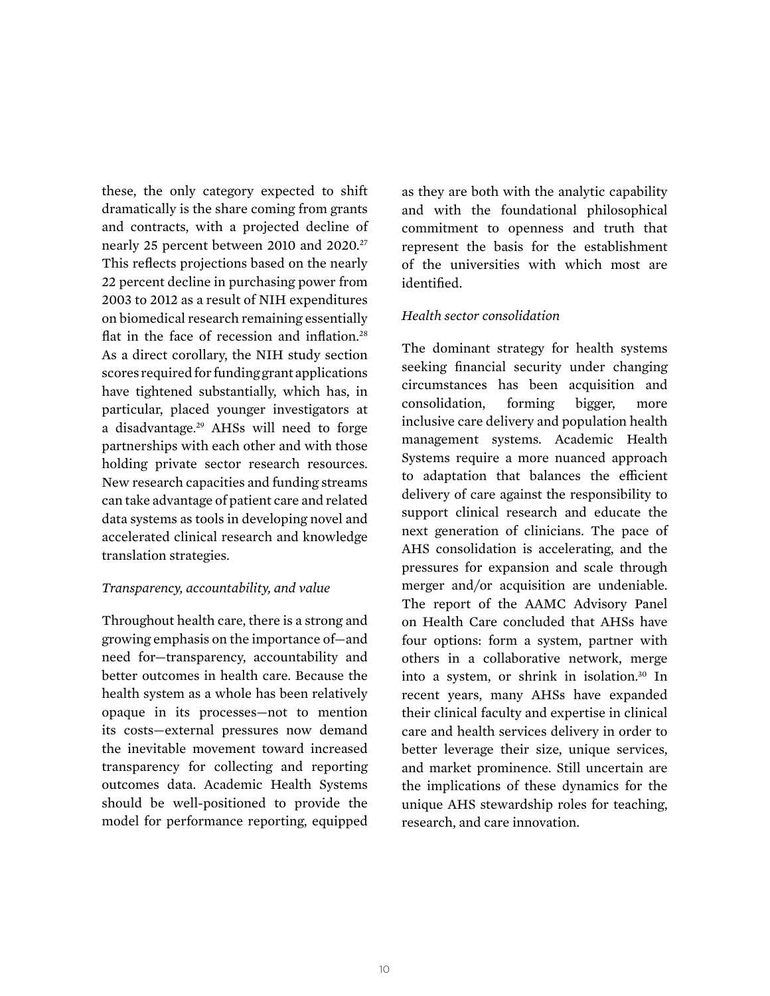these, the only category expected to shift dramatically is the share coming from grants and contracts, with a projected decline of nearly 25 percent between 2010 and 2020.<sup>27</sup> This reflects projections based on the nearly 22 percent decline in purchasing power from 2003 to 2012 as a result of NIH expenditures on biomedical research remaining essentially flat in the face of recession and inflation.<sup>28</sup> As a direct corollary, the NIH study section scores required for funding grant applications have tightened substantially, which has, in particular, placed younger investigators at a disadvantage.29 AHSs will need to forge partnerships with each other and with those holding private sector research resources. New research capacities and funding streams can take advantage of patient care and related data systems as tools in developing novel and accelerated clinical research and knowledge translation strategies.

#### *Transparency, accountability, and value*

Throughout health care, there is a strong and growing emphasis on the importance of—and need for—transparency, accountability and better outcomes in health care. Because the health system as a whole has been relatively opaque in its processes—not to mention its costs—external pressures now demand the inevitable movement toward increased transparency for collecting and reporting outcomes data. Academic Health Systems should be well-positioned to provide the model for performance reporting, equipped

as they are both with the analytic capability and with the foundational philosophical commitment to openness and truth that represent the basis for the establishment of the universities with which most are identified.

#### *Health sector consolidation*

The dominant strategy for health systems seeking financial security under changing circumstances has been acquisition and consolidation, forming bigger, more inclusive care delivery and population health management systems. Academic Health Systems require a more nuanced approach to adaptation that balances the efficient delivery of care against the responsibility to support clinical research and educate the next generation of clinicians. The pace of AHS consolidation is accelerating, and the pressures for expansion and scale through merger and/or acquisition are undeniable. The report of the AAMC Advisory Panel on Health Care concluded that AHSs have four options: form a system, partner with others in a collaborative network, merge into a system, or shrink in isolation.30 In recent years, many AHSs have expanded their clinical faculty and expertise in clinical care and health services delivery in order to better leverage their size, unique services, and market prominence. Still uncertain are the implications of these dynamics for the unique AHS stewardship roles for teaching, research, and care innovation.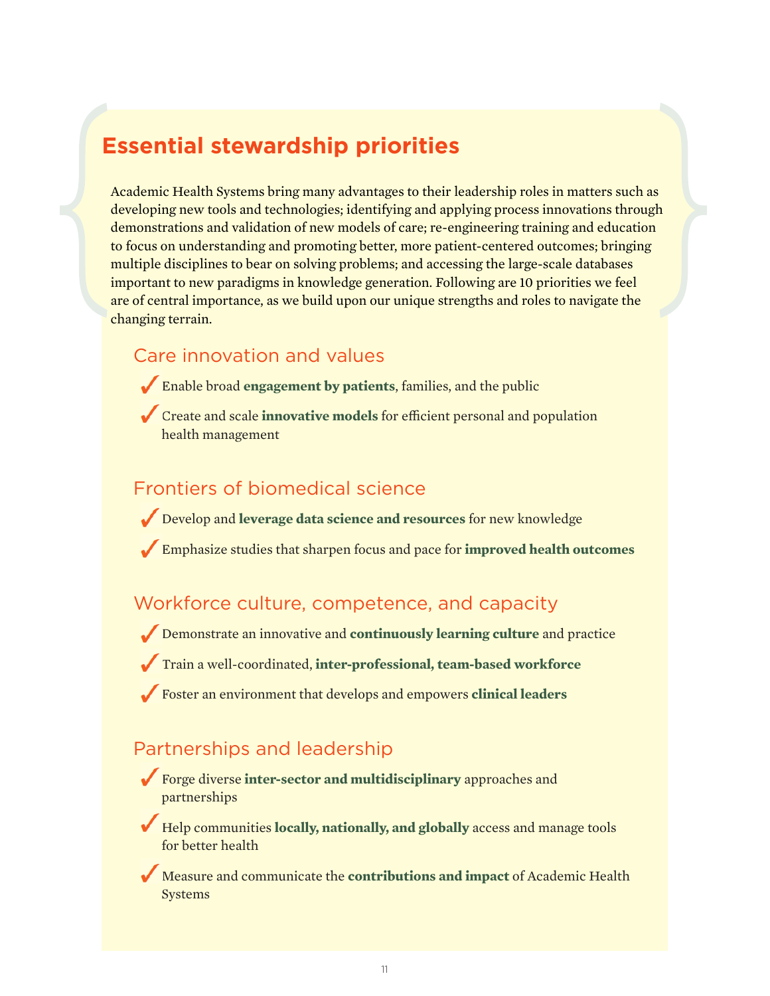## **Essential stewardship priorities**

Academic Health Systems bring many advantages to their leadership roles in matters such as developing new tools and technologies; identifying and applying process innovations through demonstrations and validation of new models of care; re-engineering training and education to focus on understanding and promoting better, more patient-centered outcomes; bringing multiple disciplines to bear on solving problems; and accessing the large-scale databases important to new paradigms in knowledge generation. Following are 10 priorities we feel are of central importance, as we build upon our unique strengths and roles to navigate the changing terrain.

## Care innovation and values

- Enable broad **engagement by patients**, families, and the public
- Create and scale **innovative models** for efficient personal and population health management

## Frontiers of biomedical science

- Develop and **leverage data science and resources** for new knowledge
- Emphasize studies that sharpen focus and pace for **improved health outcomes**

## Workforce culture, competence, and capacity

• Demonstrate an innovative and **continuously learning culture** and practice

- Train a well-coordinated, **inter-professional, team-based workforce**
- Foster an environment that develops and empowers **clinical leaders**

## Partnerships and leadership

- Forge diverse **inter-sector and multidisciplinary** approaches and partnerships
- Help communities **locally, nationally, and globally** access and manage tools for better health
- Measure and communicate the **contributions and impact** of Academic Health Systems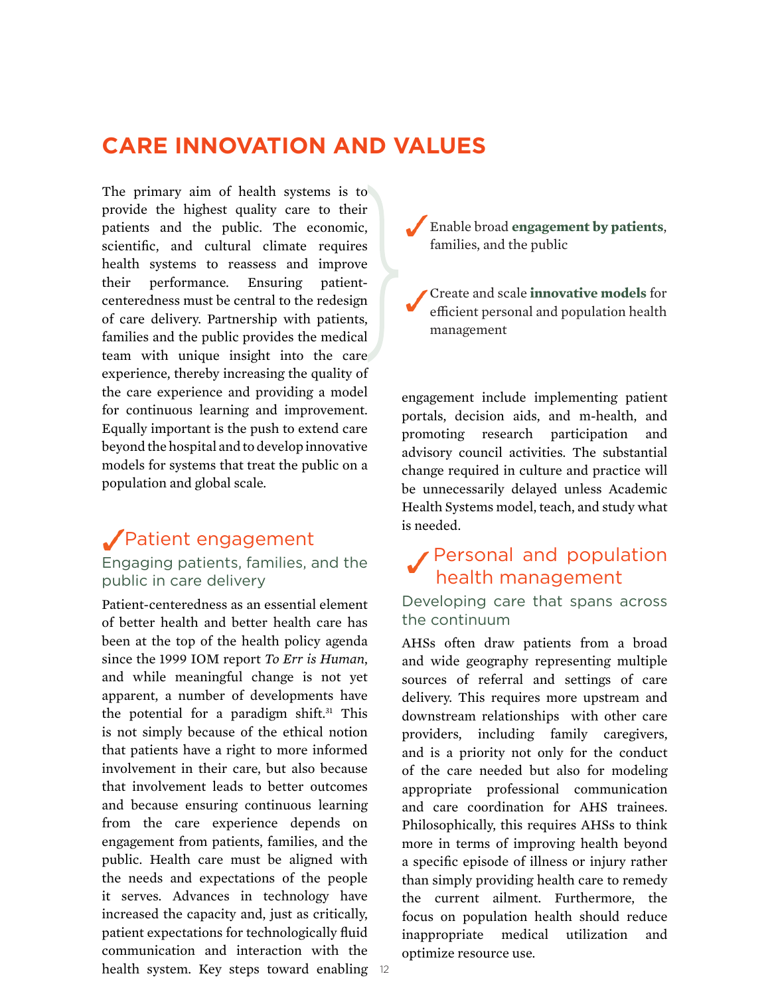## **CARE INNOVATION AND VALUES**

The primary aim of health systems is to provide the highest quality care to their patients and the public. The economic, scientific, and cultural climate requires health systems to reassess and improve their performance. Ensuring patientcenteredness must be central to the redesign of care delivery. Partnership with patients, families and the public provides the medical team with unique insight into the care experience, thereby increasing the quality of the care experience and providing a model for continuous learning and improvement. Equally important is the push to extend care beyond the hospital and to develop innovative models for systems that treat the public on a population and global scale.

## Patient engagement Engaging patients, families, and the

## public in care delivery

health system. Key steps toward enabling 12 Patient-centeredness as an essential element of better health and better health care has been at the top of the health policy agenda since the 1999 IOM report *To Err is Human*, and while meaningful change is not yet apparent, a number of developments have the potential for a paradigm shift.<sup>31</sup> This is not simply because of the ethical notion that patients have a right to more informed involvement in their care, but also because that involvement leads to better outcomes and because ensuring continuous learning from the care experience depends on engagement from patients, families, and the public. Health care must be aligned with the needs and expectations of the people it serves. Advances in technology have increased the capacity and, just as critically, patient expectations for technologically fluid communication and interaction with the

• Enable broad **engagement by patients**, families, and the public

• Create and scale **innovative models** for efficient personal and population health management

engagement include implementing patient portals, decision aids, and m-health, and promoting research participation and advisory council activities. The substantial change required in culture and practice will be unnecessarily delayed unless Academic Health Systems model, teach, and study what is needed.

## Personal and population health management

### Developing care that spans across the continuum

AHSs often draw patients from a broad and wide geography representing multiple sources of referral and settings of care delivery. This requires more upstream and downstream relationships with other care providers, including family caregivers, and is a priority not only for the conduct of the care needed but also for modeling appropriate professional communication and care coordination for AHS trainees. Philosophically, this requires AHSs to think more in terms of improving health beyond a specific episode of illness or injury rather than simply providing health care to remedy the current ailment. Furthermore, the focus on population health should reduce inappropriate medical utilization and optimize resource use.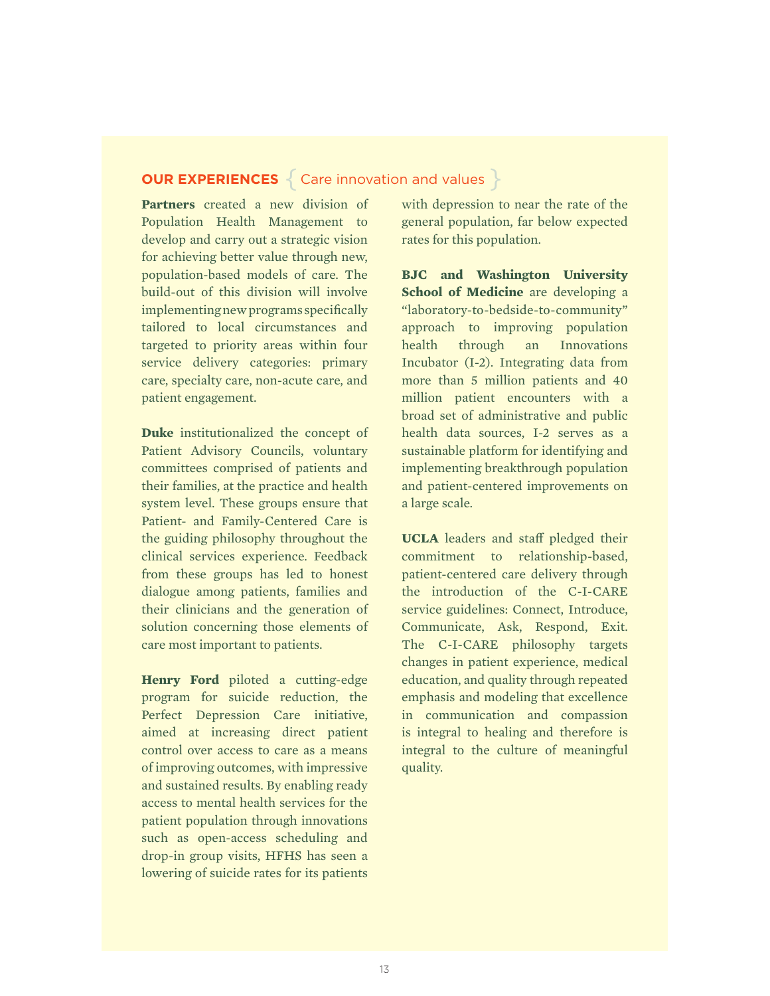## **OUR EXPERIENCES** { Care innovation and values }

**Partners** created a new division of Population Health Management to develop and carry out a strategic vision for achieving better value through new, population-based models of care. The build-out of this division will involve implementing new programs specifically tailored to local circumstances and targeted to priority areas within four service delivery categories: primary care, specialty care, non-acute care, and patient engagement.

**Duke** institutionalized the concept of Patient Advisory Councils, voluntary committees comprised of patients and their families, at the practice and health system level. These groups ensure that Patient- and Family-Centered Care is the guiding philosophy throughout the clinical services experience. Feedback from these groups has led to honest dialogue among patients, families and their clinicians and the generation of solution concerning those elements of care most important to patients.

**Henry Ford** piloted a cutting-edge program for suicide reduction, the Perfect Depression Care initiative, aimed at increasing direct patient control over access to care as a means of improving outcomes, with impressive and sustained results. By enabling ready access to mental health services for the patient population through innovations such as open-access scheduling and drop-in group visits, HFHS has seen a lowering of suicide rates for its patients with depression to near the rate of the general population, far below expected rates for this population.

**BJC and Washington University School of Medicine** are developing a "laboratory-to-bedside-to-community" approach to improving population health through an Innovations Incubator (I-2). Integrating data from more than 5 million patients and 40 million patient encounters with a broad set of administrative and public health data sources, I-2 serves as a sustainable platform for identifying and implementing breakthrough population and patient-centered improvements on a large scale.

**UCLA** leaders and staff pledged their commitment to relationship-based, patient-centered care delivery through the introduction of the C-I-CARE service guidelines: Connect, Introduce, Communicate, Ask, Respond, Exit. The C-I-CARE philosophy targets changes in patient experience, medical education, and quality through repeated emphasis and modeling that excellence in communication and compassion is integral to healing and therefore is integral to the culture of meaningful quality.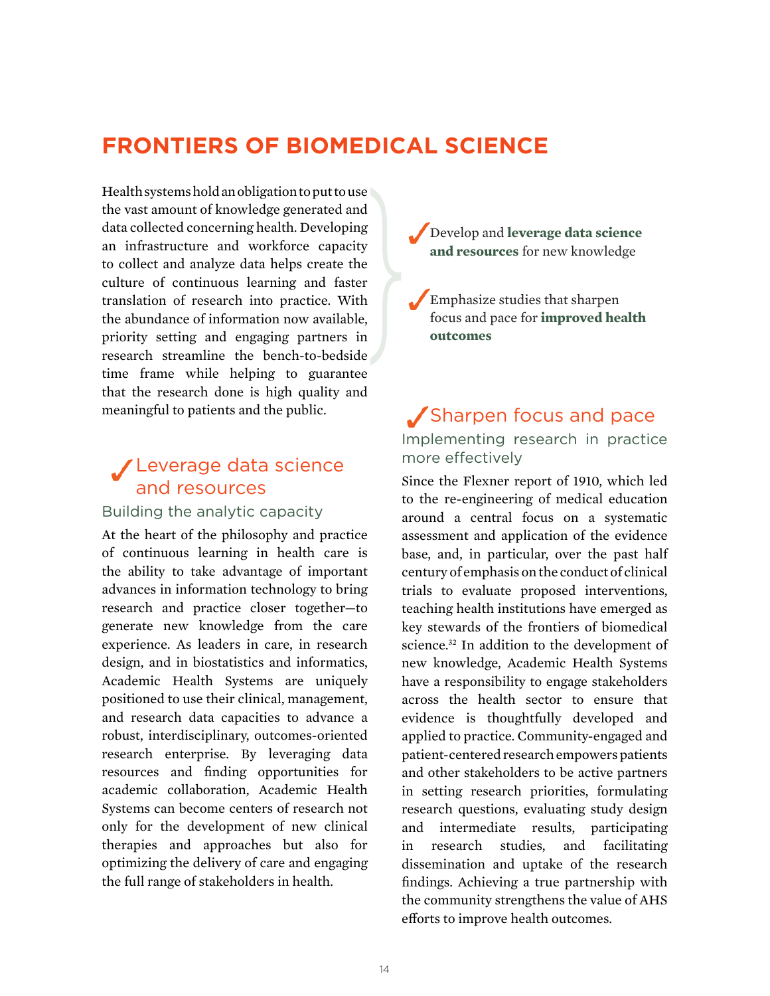## **FRONTIERS OF BIOMEDICAL SCIENCE**

Health systems hold an obligation to put to use the vast amount of knowledge generated and data collected concerning health. Developing an infrastructure and workforce capacity to collect and analyze data helps create the culture of continuous learning and faster translation of research into practice. With the abundance of information now available, priority setting and engaging partners in research streamline the bench-to-bedside time frame while helping to guarantee that the research done is high quality and meaningful to patients and the public.

## Leverage data science and resources

#### Building the analytic capacity

At the heart of the philosophy and practice of continuous learning in health care is the ability to take advantage of important advances in information technology to bring research and practice closer together—to generate new knowledge from the care experience. As leaders in care, in research design, and in biostatistics and informatics, Academic Health Systems are uniquely positioned to use their clinical, management, and research data capacities to advance a robust, interdisciplinary, outcomes-oriented research enterprise. By leveraging data resources and finding opportunities for academic collaboration, Academic Health Systems can become centers of research not only for the development of new clinical therapies and approaches but also for optimizing the delivery of care and engaging the full range of stakeholders in health.



• Emphasize studies that sharpen focus and pace for **improved health outcomes**

## Sharpen focus and pace Implementing research in practice more effectively

Since the Flexner report of 1910, which led to the re-engineering of medical education around a central focus on a systematic assessment and application of the evidence base, and, in particular, over the past half century of emphasis on the conduct of clinical trials to evaluate proposed interventions, teaching health institutions have emerged as key stewards of the frontiers of biomedical science.<sup>32</sup> In addition to the development of new knowledge, Academic Health Systems have a responsibility to engage stakeholders across the health sector to ensure that evidence is thoughtfully developed and applied to practice. Community-engaged and patient-centered research empowers patients and other stakeholders to be active partners in setting research priorities, formulating research questions, evaluating study design and intermediate results, participating in research studies, and facilitating dissemination and uptake of the research findings. Achieving a true partnership with the community strengthens the value of AHS efforts to improve health outcomes.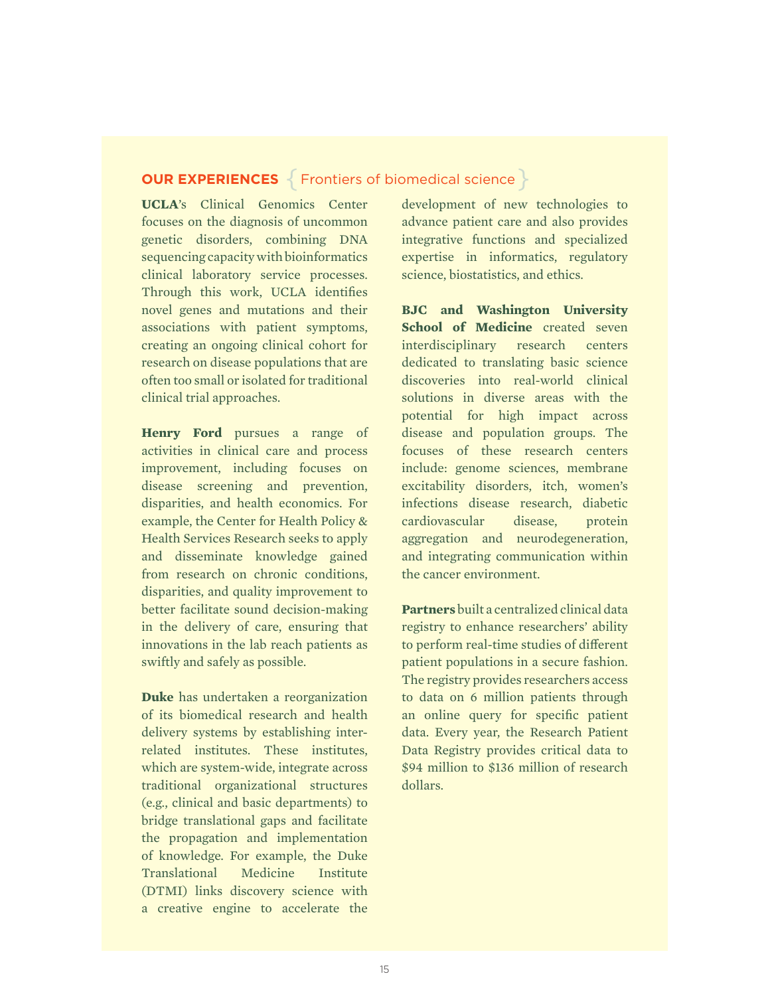## **OUR EXPERIENCES** { Frontiers of biomedical science }

**UCLA**'s Clinical Genomics Center focuses on the diagnosis of uncommon genetic disorders, combining DNA sequencing capacity with bioinformatics clinical laboratory service processes. Through this work, UCLA identifies novel genes and mutations and their associations with patient symptoms, creating an ongoing clinical cohort for research on disease populations that are often too small or isolated for traditional clinical trial approaches.

**Henry Ford** pursues a range of activities in clinical care and process improvement, including focuses on disease screening and prevention, disparities, and health economics. For example, the Center for Health Policy & Health Services Research seeks to apply and disseminate knowledge gained from research on chronic conditions, disparities, and quality improvement to better facilitate sound decision-making in the delivery of care, ensuring that innovations in the lab reach patients as swiftly and safely as possible.

**Duke** has undertaken a reorganization of its biomedical research and health delivery systems by establishing interrelated institutes. These institutes, which are system-wide, integrate across traditional organizational structures (e.g., clinical and basic departments) to bridge translational gaps and facilitate the propagation and implementation of knowledge. For example, the Duke Translational Medicine Institute (DTMI) links discovery science with a creative engine to accelerate the

development of new technologies to advance patient care and also provides integrative functions and specialized expertise in informatics, regulatory science, biostatistics, and ethics.

**BJC and Washington University School of Medicine** created seven interdisciplinary research centers dedicated to translating basic science discoveries into real-world clinical solutions in diverse areas with the potential for high impact across disease and population groups. The focuses of these research centers include: genome sciences, membrane excitability disorders, itch, women's infections disease research, diabetic cardiovascular disease, protein aggregation and neurodegeneration, and integrating communication within the cancer environment.

**Partners** built a centralized clinical data registry to enhance researchers' ability to perform real-time studies of different patient populations in a secure fashion. The registry provides researchers access to data on 6 million patients through an online query for specific patient data. Every year, the Research Patient Data Registry provides critical data to \$94 million to \$136 million of research dollars.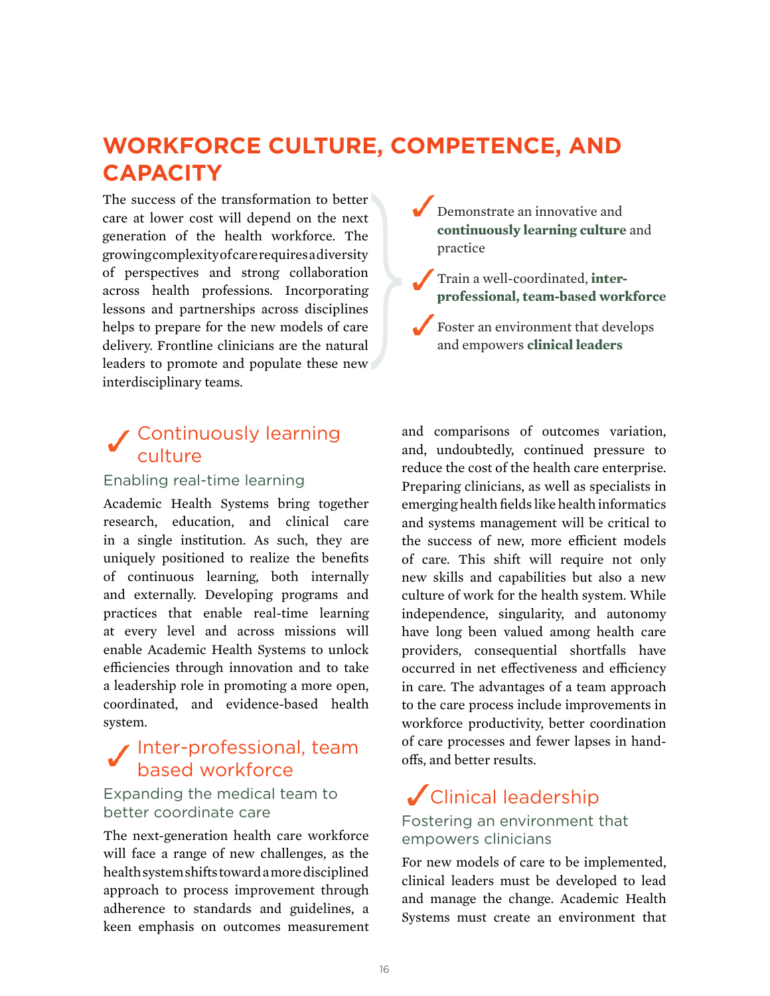## **WORKFORCE CULTURE, COMPETENCE, AND CAPACITY**

The success of the transformation to better care at lower cost will depend on the next generation of the health workforce. The growing complexity of care requires a diversity of perspectives and strong collaboration across health professions. Incorporating lessons and partnerships across disciplines helps to prepare for the new models of care delivery. Frontline clinicians are the natural leaders to promote and populate these new interdisciplinary teams.

## Continuously learning culture

#### Enabling real-time learning

Academic Health Systems bring together research, education, and clinical care in a single institution. As such, they are uniquely positioned to realize the benefits of continuous learning, both internally and externally. Developing programs and practices that enable real-time learning at every level and across missions will enable Academic Health Systems to unlock efficiencies through innovation and to take a leadership role in promoting a more open, coordinated, and evidence-based health system.

## Inter-professional, team based workforce

### Expanding the medical team to better coordinate care

The next-generation health care workforce will face a range of new challenges, as the health system shifts toward a more disciplined approach to process improvement through adherence to standards and guidelines, a keen emphasis on outcomes measurement • Demonstrate an innovative and **continuously learning culture** and practice

- Train a well-coordinated, **interprofessional, team-based workforce**
- Foster an environment that develops and empowers **clinical leaders**

and comparisons of outcomes variation, and, undoubtedly, continued pressure to reduce the cost of the health care enterprise. Preparing clinicians, as well as specialists in emerging health fields like health informatics and systems management will be critical to the success of new, more efficient models of care. This shift will require not only new skills and capabilities but also a new culture of work for the health system. While independence, singularity, and autonomy have long been valued among health care providers, consequential shortfalls have occurred in net effectiveness and efficiency in care. The advantages of a team approach to the care process include improvements in workforce productivity, better coordination of care processes and fewer lapses in handoffs, and better results.

## Clinical leadership Fostering an environment that empowers clinicians

For new models of care to be implemented, clinical leaders must be developed to lead and manage the change. Academic Health Systems must create an environment that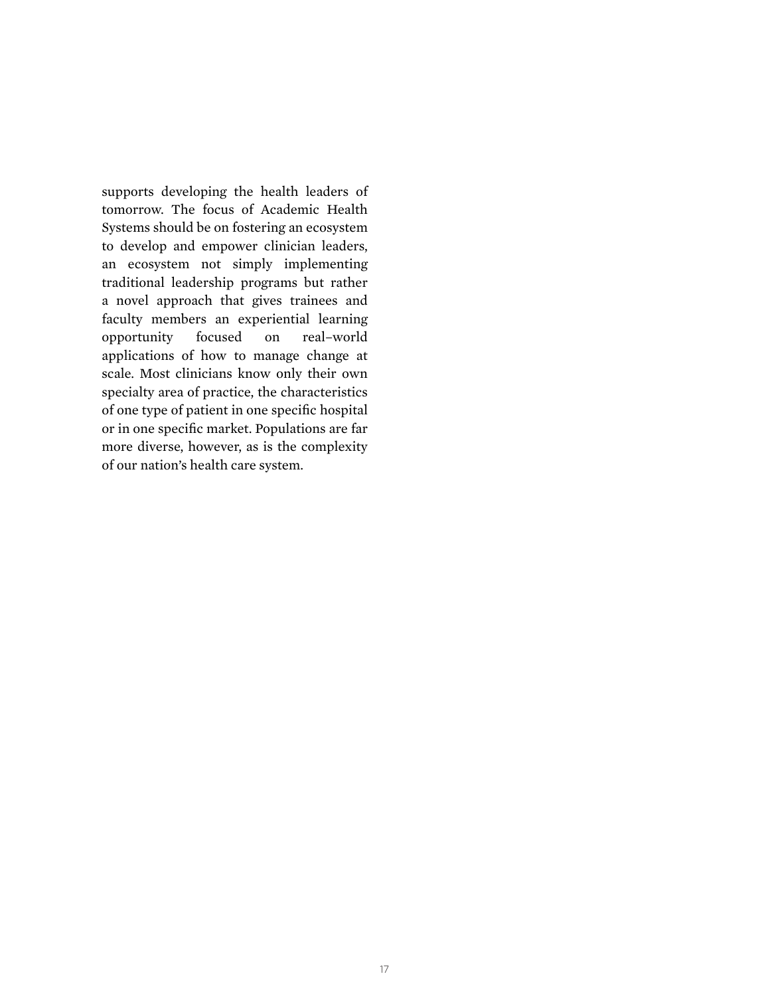supports developing the health leaders of tomorrow. The focus of Academic Health Systems should be on fostering an ecosystem to develop and empower clinician leaders, an ecosystem not simply implementing traditional leadership programs but rather a novel approach that gives trainees and faculty members an experiential learning opportunity focused on real–world applications of how to manage change at scale. Most clinicians know only their own specialty area of practice, the characteristics of one type of patient in one specific hospital or in one specific market. Populations are far more diverse, however, as is the complexity of our nation's health care system.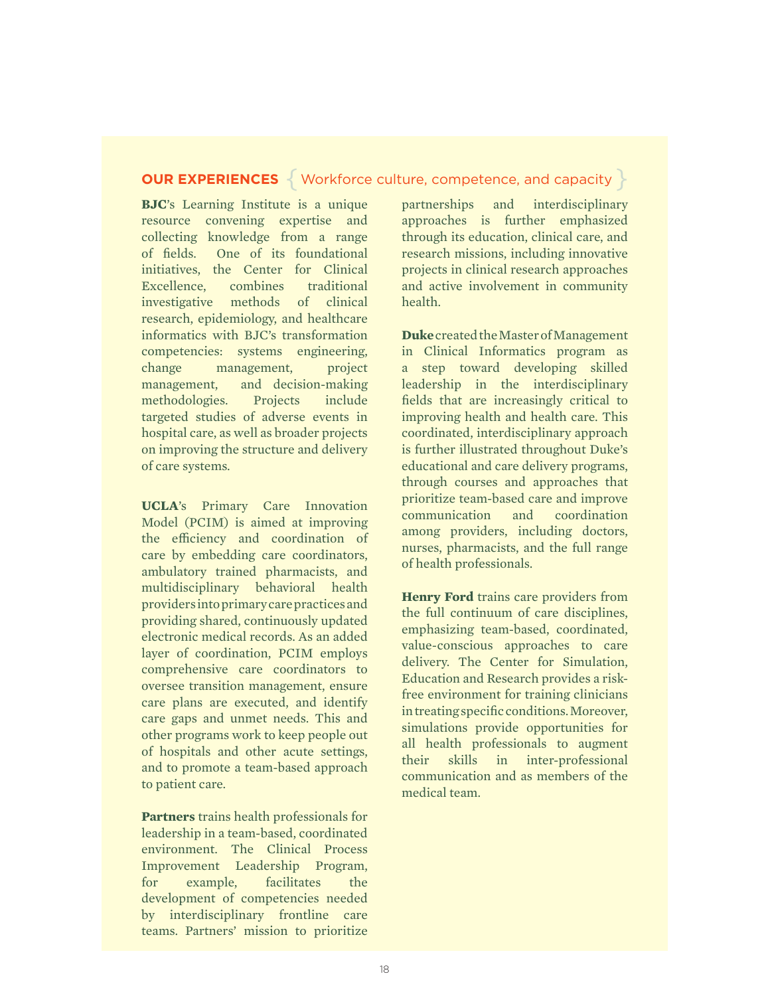### **OUR EXPERIENCES**  $\{$  Workforce culture, competence, and capacity  $\}$

**BJC**'s Learning Institute is a unique resource convening expertise and collecting knowledge from a range of fields. One of its foundational initiatives, the Center for Clinical Excellence, combines traditional investigative methods of clinical research, epidemiology, and healthcare informatics with BJC's transformation competencies: systems engineering, change management, project management, and decision-making methodologies. Projects include targeted studies of adverse events in hospital care, as well as broader projects on improving the structure and delivery of care systems.

**UCLA**'s Primary Care Innovation Model (PCIM) is aimed at improving the efficiency and coordination of care by embedding care coordinators, ambulatory trained pharmacists, and multidisciplinary behavioral health providers into primary care practices and providing shared, continuously updated electronic medical records. As an added layer of coordination, PCIM employs comprehensive care coordinators to oversee transition management, ensure care plans are executed, and identify care gaps and unmet needs. This and other programs work to keep people out of hospitals and other acute settings, and to promote a team-based approach to patient care.

**Partners** trains health professionals for leadership in a team-based, coordinated environment. The Clinical Process Improvement Leadership Program, for example, facilitates the development of competencies needed by interdisciplinary frontline care teams. Partners' mission to prioritize

partnerships and interdisciplinary approaches is further emphasized through its education, clinical care, and research missions, including innovative projects in clinical research approaches and active involvement in community health.

**Duke** created the Master of Management in Clinical Informatics program as a step toward developing skilled leadership in the interdisciplinary fields that are increasingly critical to improving health and health care. This coordinated, interdisciplinary approach is further illustrated throughout Duke's educational and care delivery programs, through courses and approaches that prioritize team-based care and improve communication and coordination among providers, including doctors, nurses, pharmacists, and the full range of health professionals.

**Henry Ford** trains care providers from the full continuum of care disciplines, emphasizing team-based, coordinated, value-conscious approaches to care delivery. The Center for Simulation, Education and Research provides a riskfree environment for training clinicians in treating specific conditions. Moreover, simulations provide opportunities for all health professionals to augment their skills in inter-professional communication and as members of the medical team.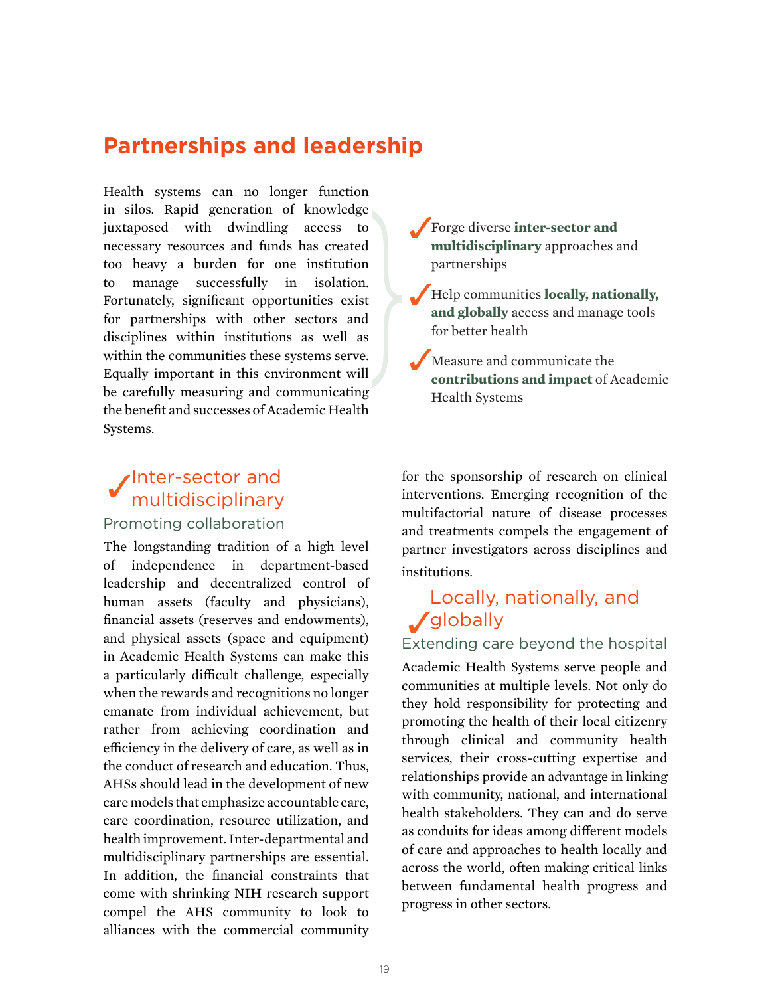## **Partnerships and leadership**

Health systems can no longer function in silos. Rapid generation of knowledge juxtaposed with dwindling access to necessary resources and funds has created too heavy a burden for one institution to manage successfully in isolation. Fortunately, significant opportunities exist for partnerships with other sectors and disciplines within institutions as well as within the communities these systems serve. Equally important in this environment will be carefully measuring and communicating the benefit and successes of Academic Health Systems.

## Inter-sector and multidisciplinary

### Promoting collaboration

The longstanding tradition of a high level of independence in department-based leadership and decentralized control of human assets (faculty and physicians), financial assets (reserves and endowments), and physical assets (space and equipment) in Academic Health Systems can make this a particularly difficult challenge, especially when the rewards and recognitions no longer emanate from individual achievement, but rather from achieving coordination and efficiency in the delivery of care, as well as in the conduct of research and education. Thus, AHSs should lead in the development of new care models that emphasize accountable care, care coordination, resource utilization, and health improvement. Inter-departmental and multidisciplinary partnerships are essential. In addition, the financial constraints that come with shrinking NIH research support compel the AHS community to look to alliances with the commercial community

• Forge diverse **inter-sector and multidisciplinary** approaches and partnerships

• Help communities **locally, nationally, and globally** access and manage tools for better health

Measure and communicate the **contributions and impact** of Academic Health Systems

for the sponsorship of research on clinical interventions. Emerging recognition of the multifactorial nature of disease processes and treatments compels the engagement of partner investigators across disciplines and institutions.

## Locally, nationally, and *J* globally

### Extending care beyond the hospital

Academic Health Systems serve people and communities at multiple levels. Not only do they hold responsibility for protecting and promoting the health of their local citizenry through clinical and community health services, their cross-cutting expertise and relationships provide an advantage in linking with community, national, and international health stakeholders. They can and do serve as conduits for ideas among different models of care and approaches to health locally and across the world, often making critical links between fundamental health progress and progress in other sectors.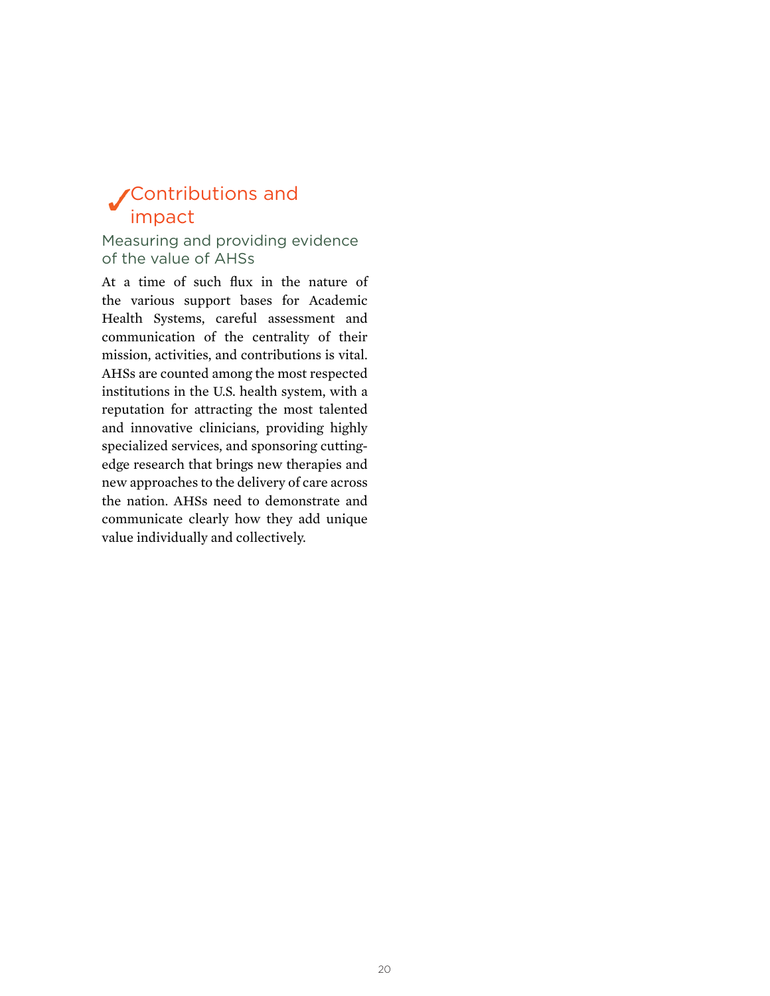## Contributions and impact

Measuring and providing evidence of the value of AHSs

At a time of such flux in the nature of the various support bases for Academic Health Systems, careful assessment and communication of the centrality of their mission, activities, and contributions is vital. AHSs are counted among the most respected institutions in the U.S. health system, with a reputation for attracting the most talented and innovative clinicians, providing highly specialized services, and sponsoring cuttingedge research that brings new therapies and new approaches to the delivery of care across the nation. AHSs need to demonstrate and communicate clearly how they add unique value individually and collectively.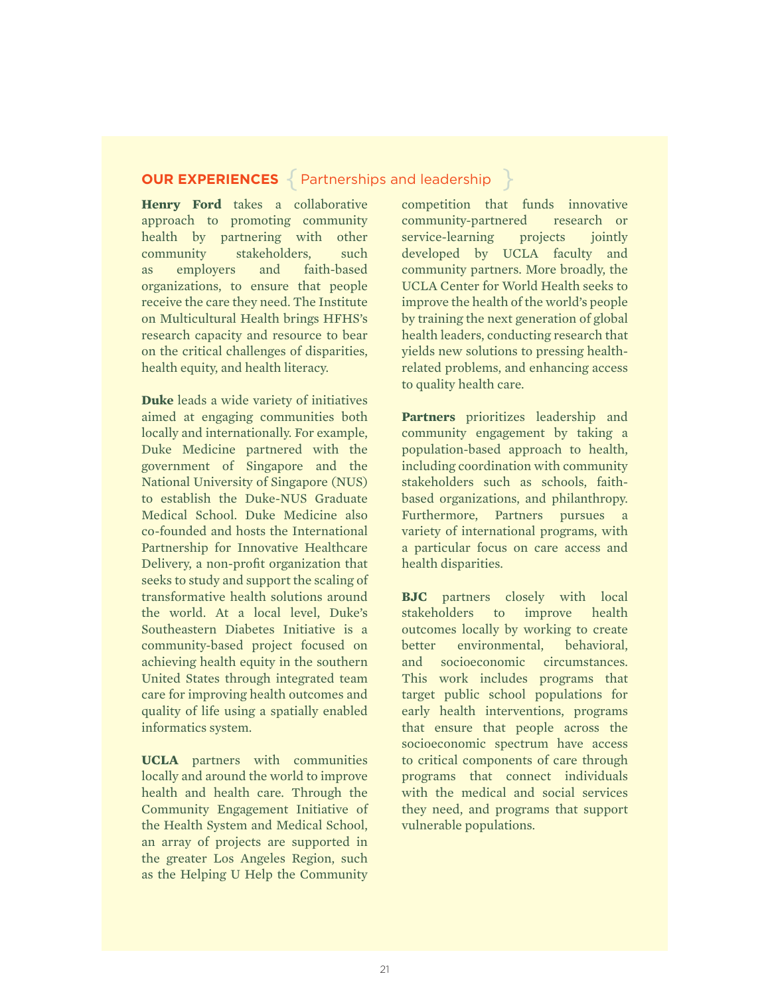### **OUR EXPERIENCES** { Partnerships and leadership }

**Henry Ford** takes a collaborative approach to promoting community health by partnering with other community stakeholders, such as employers and faith-based organizations, to ensure that people receive the care they need. The Institute on Multicultural Health brings HFHS's research capacity and resource to bear on the critical challenges of disparities, health equity, and health literacy.

**Duke** leads a wide variety of initiatives aimed at engaging communities both locally and internationally. For example, Duke Medicine partnered with the government of Singapore and the National University of Singapore (NUS) to establish the Duke-NUS Graduate Medical School. Duke Medicine also co-founded and hosts the International Partnership for Innovative Healthcare Delivery, a non-profit organization that seeks to study and support the scaling of transformative health solutions around the world. At a local level, Duke's Southeastern Diabetes Initiative is a community-based project focused on achieving health equity in the southern United States through integrated team care for improving health outcomes and quality of life using a spatially enabled informatics system.

**UCLA** partners with communities locally and around the world to improve health and health care. Through the Community Engagement Initiative of the Health System and Medical School, an array of projects are supported in the greater Los Angeles Region, such as the Helping U Help the Community

competition that funds innovative community-partnered research or service-learning projects jointly developed by UCLA faculty and community partners. More broadly, the UCLA Center for World Health seeks to improve the health of the world's people by training the next generation of global health leaders, conducting research that yields new solutions to pressing healthrelated problems, and enhancing access to quality health care.

**Partners** prioritizes leadership and community engagement by taking a population-based approach to health, including coordination with community stakeholders such as schools, faithbased organizations, and philanthropy. Furthermore, Partners pursues a variety of international programs, with a particular focus on care access and health disparities.

**BJC** partners closely with local stakeholders to improve health outcomes locally by working to create better environmental, behavioral, and socioeconomic circumstances. This work includes programs that target public school populations for early health interventions, programs that ensure that people across the socioeconomic spectrum have access to critical components of care through programs that connect individuals with the medical and social services they need, and programs that support vulnerable populations.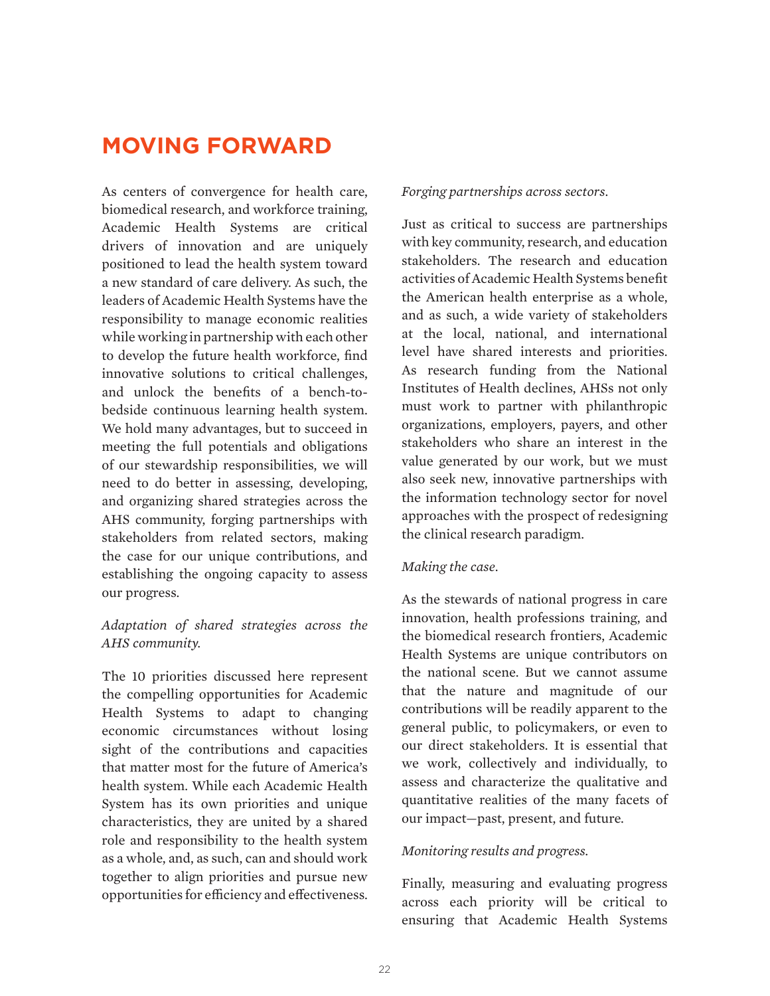## **MOVING FORWARD**

As centers of convergence for health care, biomedical research, and workforce training, Academic Health Systems are critical drivers of innovation and are uniquely positioned to lead the health system toward a new standard of care delivery. As such, the leaders of Academic Health Systems have the responsibility to manage economic realities while working in partnership with each other to develop the future health workforce, find innovative solutions to critical challenges, and unlock the benefits of a bench-tobedside continuous learning health system. We hold many advantages, but to succeed in meeting the full potentials and obligations of our stewardship responsibilities, we will need to do better in assessing, developing, and organizing shared strategies across the AHS community, forging partnerships with stakeholders from related sectors, making the case for our unique contributions, and establishing the ongoing capacity to assess our progress.

### *Adaptation of shared strategies across the AHS community.*

The 10 priorities discussed here represent the compelling opportunities for Academic Health Systems to adapt to changing economic circumstances without losing sight of the contributions and capacities that matter most for the future of America's health system. While each Academic Health System has its own priorities and unique characteristics, they are united by a shared role and responsibility to the health system as a whole, and, as such, can and should work together to align priorities and pursue new opportunities for efficiency and effectiveness.

#### *Forging partnerships across sectors*.

Just as critical to success are partnerships with key community, research, and education stakeholders. The research and education activities of Academic Health Systems benefit the American health enterprise as a whole, and as such, a wide variety of stakeholders at the local, national, and international level have shared interests and priorities. As research funding from the National Institutes of Health declines, AHSs not only must work to partner with philanthropic organizations, employers, payers, and other stakeholders who share an interest in the value generated by our work, but we must also seek new, innovative partnerships with the information technology sector for novel approaches with the prospect of redesigning the clinical research paradigm.

#### *Making the case*.

As the stewards of national progress in care innovation, health professions training, and the biomedical research frontiers, Academic Health Systems are unique contributors on the national scene. But we cannot assume that the nature and magnitude of our contributions will be readily apparent to the general public, to policymakers, or even to our direct stakeholders. It is essential that we work, collectively and individually, to assess and characterize the qualitative and quantitative realities of the many facets of our impact—past, present, and future.

#### *Monitoring results and progress.*

Finally, measuring and evaluating progress across each priority will be critical to ensuring that Academic Health Systems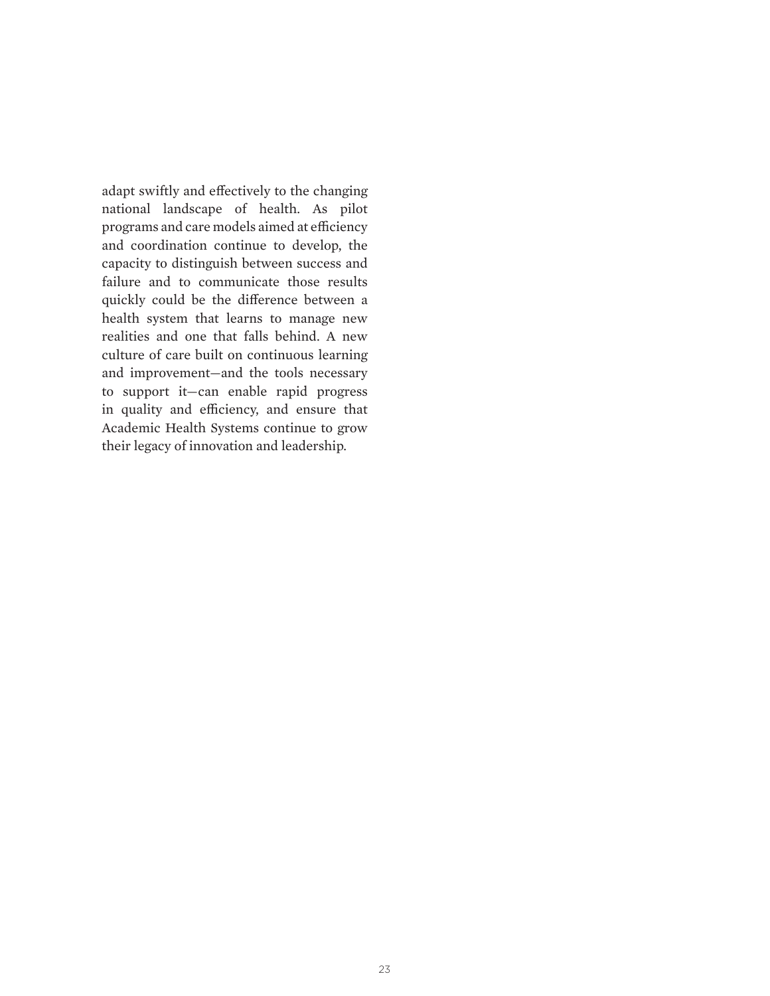adapt swiftly and effectively to the changing national landscape of health. As pilot programs and care models aimed at efficiency and coordination continue to develop, the capacity to distinguish between success and failure and to communicate those results quickly could be the difference between a health system that learns to manage new realities and one that falls behind. A new culture of care built on continuous learning and improvement—and the tools necessary to support it—can enable rapid progress in quality and efficiency, and ensure that Academic Health Systems continue to grow their legacy of innovation and leadership.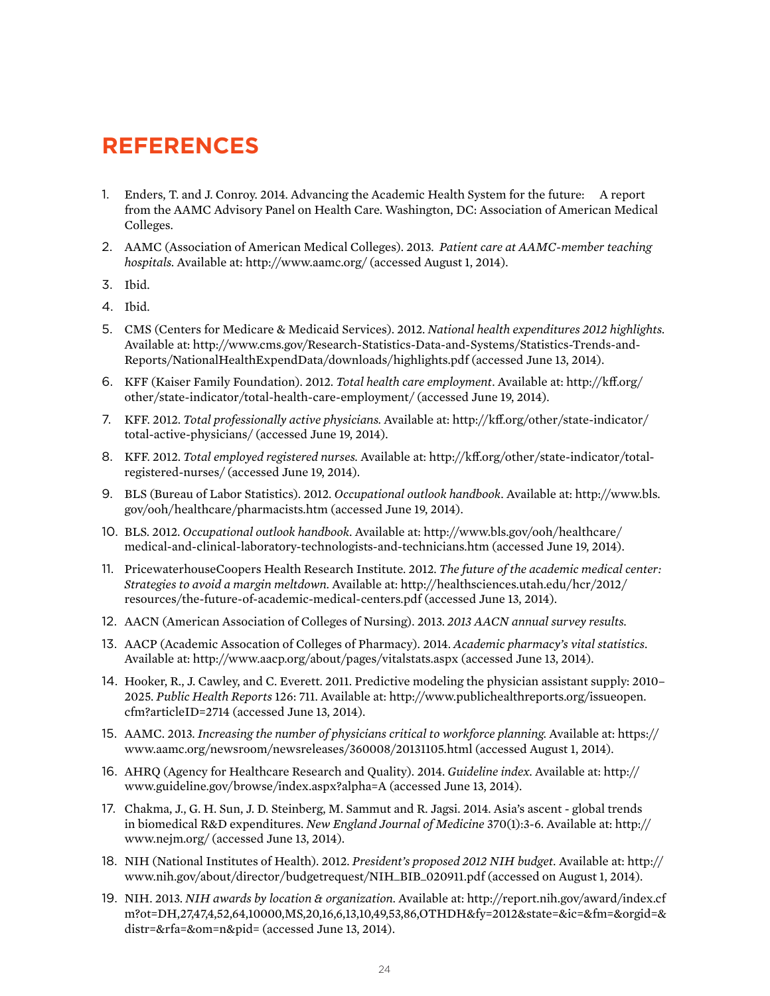## **REFERENCES**

- 1. Enders, T. and J. Conroy. 2014. Advancing the Academic Health System for the future: A report from the AAMC Advisory Panel on Health Care. Washington, DC: Association of American Medical Colleges.
- 2. AAMC (Association of American Medical Colleges). 2013. *Patient care at AAMC-member teaching hospitals.* Available at: http://www.aamc.org/ (accessed August 1, 2014).
- 3. Ibid.
- 4. Ibid.
- 5. CMS (Centers for Medicare & Medicaid Services). 2012. *National health expenditures 2012 highlights.*  Available at: http://www.cms.gov/Research-Statistics-Data-and-Systems/Statistics-Trends-and-Reports/NationalHealthExpendData/downloads/highlights.pdf (accessed June 13, 2014).
- 6. KFF (Kaiser Family Foundation). 2012. *Total health care employment*. Available at: http://kff.org/ other/state-indicator/total-health-care-employment/ (accessed June 19, 2014).
- 7. KFF. 2012. *Total professionally active physicians.* Available at: http://kff.org/other/state-indicator/ total-active-physicians/ (accessed June 19, 2014).
- 8. KFF. 2012. *Total employed registered nurses.* Available at: http://kff.org/other/state-indicator/totalregistered-nurses/ (accessed June 19, 2014).
- 9. BLS (Bureau of Labor Statistics). 2012. *Occupational outlook handbook.* Available at: http://www.bls. gov/ooh/healthcare/pharmacists.htm (accessed June 19, 2014).
- 10. BLS. 2012. *Occupational outlook handbook.* Available at: http://www.bls.gov/ooh/healthcare/ medical-and-clinical-laboratory-technologists-and-technicians.htm (accessed June 19, 2014).
- 11. PricewaterhouseCoopers Health Research Institute. 2012. *The future of the academic medical center: Strategies to avoid a margin meltdown.* Available at: http://healthsciences.utah.edu/hcr/2012/ resources/the-future-of-academic-medical-centers.pdf (accessed June 13, 2014).
- 12. AACN (American Association of Colleges of Nursing). 2013. *2013 AACN annual survey results.*
- 13. AACP (Academic Assocation of Colleges of Pharmacy). 2014. *Academic pharmacy's vital statistics*. Available at: http://www.aacp.org/about/pages/vitalstats.aspx (accessed June 13, 2014).
- 14. Hooker, R., J. Cawley, and C. Everett. 2011. Predictive modeling the physician assistant supply: 2010– 2025. *Public Health Reports* 126: 711. Available at: http://www.publichealthreports.org/issueopen. cfm?articleID=2714 (accessed June 13, 2014).
- 15. AAMC. 2013. *Increasing the number of physicians critical to workforce planning.* Available at: https:// www.aamc.org/newsroom/newsreleases/360008/20131105.html (accessed August 1, 2014).
- 16. AHRQ (Agency for Healthcare Research and Quality). 2014. *Guideline index.* Available at: http:// www.guideline.gov/browse/index.aspx?alpha=A (accessed June 13, 2014).
- 17. Chakma, J., G. H. Sun, J. D. Steinberg, M. Sammut and R. Jagsi. 2014. Asia's ascent global trends in biomedical R&D expenditures. *New England Journal of Medicine* 370(1):3-6. Available at: http:// www.nejm.org/ (accessed June 13, 2014).
- 18. NIH (National Institutes of Health). 2012. *President's proposed 2012 NIH budget.* Available at: http:// www.nih.gov/about/director/budgetrequest/NIH\_BIB\_020911.pdf (accessed on August 1, 2014).
- 19. NIH. 2013. *NIH awards by location & organization.* Available at: http://report.nih.gov/award/index.cf m?ot=DH,27,47,4,52,64,10000,MS,20,16,6,13,10,49,53,86,OTHDH&fy=2012&state=&ic=&fm=&orgid=& distr=&rfa=&om=n&pid= (accessed June 13, 2014).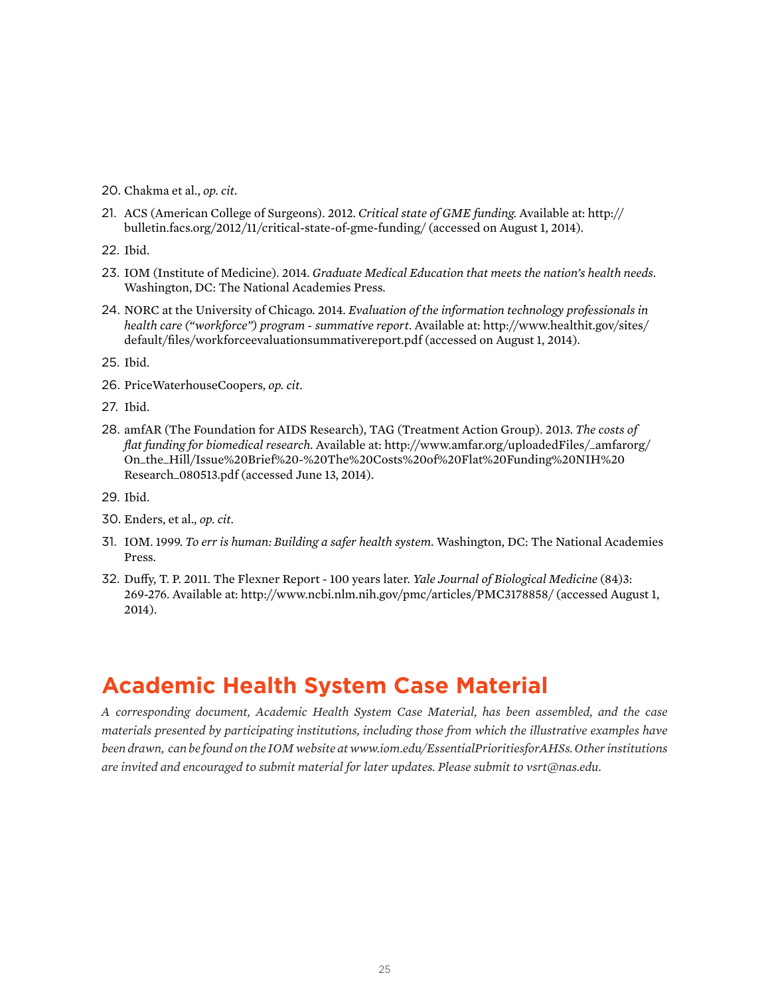- 20. Chakma et al., *op. cit.*
- 21. ACS (American College of Surgeons). 2012. *Critical state of GME funding.* Available at: http:// bulletin.facs.org/2012/11/critical-state-of-gme-funding/ (accessed on August 1, 2014).
- 22. Ibid.
- 23. IOM (Institute of Medicine). 2014. *Graduate Medical Education that meets the nation's health needs*. Washington, DC: The National Academies Press.
- 24. NORC at the University of Chicago. 2014. *Evaluation of the information technology professionals in health care ("workforce") program - summative report*. Available at: http://www.healthit.gov/sites/ default/files/workforceevaluationsummativereport.pdf (accessed on August 1, 2014).

25. Ibid.

- 26. PriceWaterhouseCoopers, *op. cit.*
- 27. Ibid.
- 28. amfAR (The Foundation for AIDS Research), TAG (Treatment Action Group). 2013. *The costs of flat funding for biomedical research.* Available at: http://www.amfar.org/uploadedFiles/\_amfarorg/ On\_the\_Hill/Issue%20Brief%20-%20The%20Costs%20of%20Flat%20Funding%20NIH%20 Research\_080513.pdf (accessed June 13, 2014).
- 29. Ibid.
- 30. Enders, et al., *op. cit.*
- 31. IOM. 1999. *To err is human: Building a safer health system*. Washington, DC: The National Academies Press.
- 32. Duffy, T. P. 2011. The Flexner Report 100 years later. *Yale Journal of Biological Medicine* (84)3: 269-276. Available at: http://www.ncbi.nlm.nih.gov/pmc/articles/PMC3178858/ (accessed August 1, 2014).

## **Academic Health System Case Material**

*A corresponding document, Academic Health System Case Material, has been assembled, and the case materials presented by participating institutions, including those from which the illustrative examples have been drawn, can be found on the IOM website at www.iom.edu/EssentialPrioritiesforAHSs. Other institutions are invited and encouraged to submit material for later updates. Please submit to vsrt@nas.edu.*